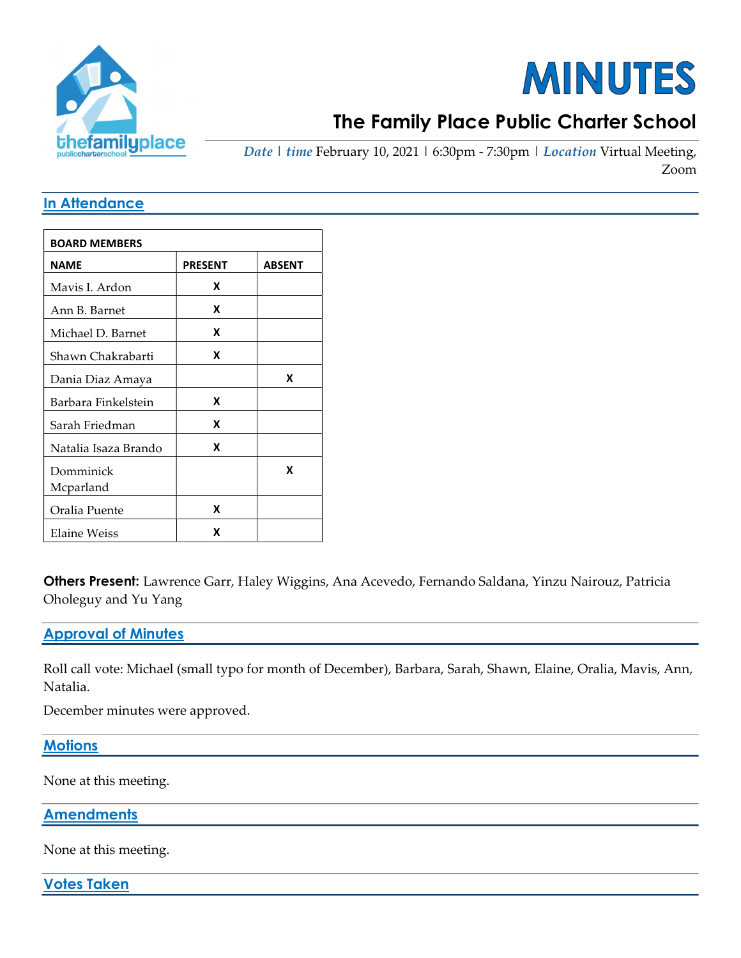

# **MINUTES**

# The Family Place Public Charter School

Date | time February 10, 2021 | 6:30pm - 7:30pm | Location Virtual Meeting, Zoom

#### In Attendance

| <b>BOARD MEMBERS</b>   |                |               |
|------------------------|----------------|---------------|
| <b>NAME</b>            | <b>PRESENT</b> | <b>ABSENT</b> |
| Mavis I. Ardon         | x              |               |
| Ann B. Barnet          | x              |               |
| Michael D. Barnet      | x              |               |
| Shawn Chakrabarti      | x              |               |
| Dania Diaz Amaya       |                | x             |
| Barbara Finkelstein    | x              |               |
| Sarah Friedman         | x              |               |
| Natalia Isaza Brando   | x              |               |
| Domminick<br>Mcparland |                | x             |
| Oralia Puente          | x              |               |
| Elaine Weiss           | x              |               |

Others Present: Lawrence Garr, Haley Wiggins, Ana Acevedo, Fernando Saldana, Yinzu Nairouz, Patricia Oholeguy and Yu Yang

#### Approval of Minutes

Roll call vote: Michael (small typo for month of December), Barbara, Sarah, Shawn, Elaine, Oralia, Mavis, Ann, Natalia.

December minutes were approved.

**Motions** 

None at this meeting.

**Amendments** 

None at this meeting.

Votes Taken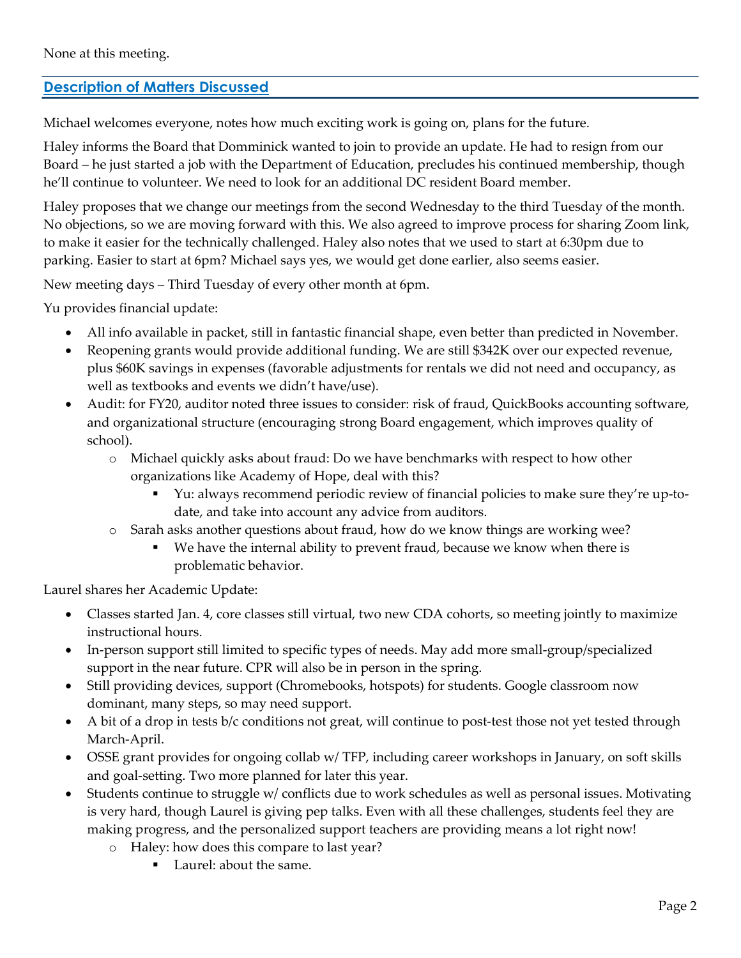### Description of Matters Discussed

Michael welcomes everyone, notes how much exciting work is going on, plans for the future.

Haley informs the Board that Domminick wanted to join to provide an update. He had to resign from our Board – he just started a job with the Department of Education, precludes his continued membership, though he'll continue to volunteer. We need to look for an additional DC resident Board member.

Haley proposes that we change our meetings from the second Wednesday to the third Tuesday of the month. No objections, so we are moving forward with this. We also agreed to improve process for sharing Zoom link, to make it easier for the technically challenged. Haley also notes that we used to start at 6:30pm due to parking. Easier to start at 6pm? Michael says yes, we would get done earlier, also seems easier.

New meeting days – Third Tuesday of every other month at 6pm.

Yu provides financial update:

- All info available in packet, still in fantastic financial shape, even better than predicted in November.
- Reopening grants would provide additional funding. We are still \$342K over our expected revenue, plus \$60K savings in expenses (favorable adjustments for rentals we did not need and occupancy, as well as textbooks and events we didn't have/use).
- Audit: for FY20, auditor noted three issues to consider: risk of fraud, QuickBooks accounting software, and organizational structure (encouraging strong Board engagement, which improves quality of school).
	- o Michael quickly asks about fraud: Do we have benchmarks with respect to how other organizations like Academy of Hope, deal with this?
		- Yu: always recommend periodic review of financial policies to make sure they're up-todate, and take into account any advice from auditors.
	- o Sarah asks another questions about fraud, how do we know things are working wee?
		- We have the internal ability to prevent fraud, because we know when there is problematic behavior.

Laurel shares her Academic Update:

- Classes started Jan. 4, core classes still virtual, two new CDA cohorts, so meeting jointly to maximize instructional hours.
- In-person support still limited to specific types of needs. May add more small-group/specialized support in the near future. CPR will also be in person in the spring.
- Still providing devices, support (Chromebooks, hotspots) for students. Google classroom now dominant, many steps, so may need support.
- A bit of a drop in tests b/c conditions not great, will continue to post-test those not yet tested through March-April.
- OSSE grant provides for ongoing collab w/ TFP, including career workshops in January, on soft skills and goal-setting. Two more planned for later this year.
- Students continue to struggle w/ conflicts due to work schedules as well as personal issues. Motivating is very hard, though Laurel is giving pep talks. Even with all these challenges, students feel they are making progress, and the personalized support teachers are providing means a lot right now!
	- o Haley: how does this compare to last year?
		- Laurel: about the same.